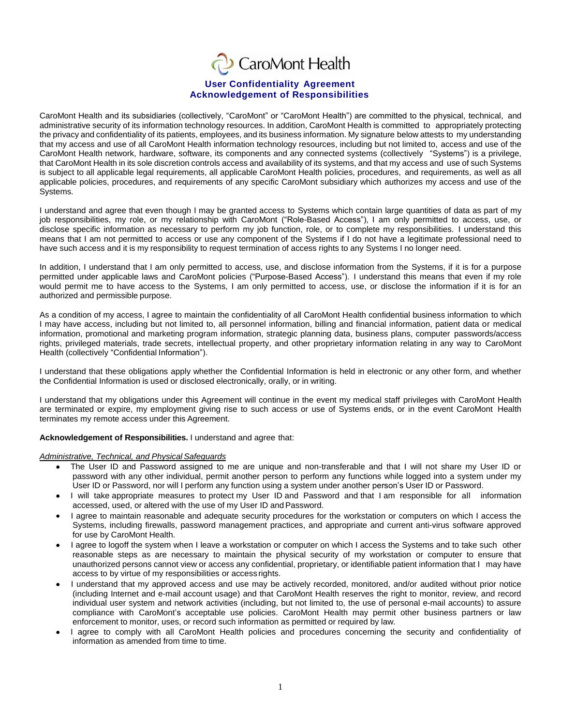# CaroMont Health

# **User Confidentiality Agreement Acknowledgement of Responsibilities**

CaroMont Health and its subsidiaries (collectively, "CaroMont" or "CaroMont Health") are committed to the physical, technical, and administrative security of its information technology resources. In addition, CaroMont Health is committed to appropriately protecting the privacy and confidentiality of its patients, employees, and its business information. My signature below attests to my understanding that my access and use of all CaroMont Health information technology resources, including but not limited to, access and use of the CaroMont Health network, hardware, software, its components and any connected systems (collectively "Systems") is a privilege, that CaroMont Health in its sole discretion controls access and availability of its systems, and that my access and use of such Systems is subject to all applicable legal requirements, all applicable CaroMont Health policies, procedures, and requirements, as well as all applicable policies, procedures, and requirements of any specific CaroMont subsidiary which authorizes my access and use of the Systems.

I understand and agree that even though I may be granted access to Systems which contain large quantities of data as part of my job responsibilities, my role, or my relationship with CaroMont ("Role-Based Access"), I am only permitted to access, use, or disclose specific information as necessary to perform my job function, role, or to complete my responsibilities. I understand this means that I am not permitted to access or use any component of the Systems if I do not have a legitimate professional need to have such access and it is my responsibility to request termination of access rights to any Systems I no longer need.

In addition, I understand that I am only permitted to access, use, and disclose information from the Systems, if it is for a purpose permitted under applicable laws and CaroMont policies ("Purpose-Based Access"). I understand this means that even if my role would permit me to have access to the Systems, I am only permitted to access, use, or disclose the information if it is for an authorized and permissible purpose.

As a condition of my access, I agree to maintain the confidentiality of all CaroMont Health confidential business information to which I may have access, including but not limited to, all personnel information, billing and financial information, patient data or medical information, promotional and marketing program information, strategic planning data, business plans, computer passwords/access rights, privileged materials, trade secrets, intellectual property, and other proprietary information relating in any way to CaroMont Health (collectively "Confidential Information").

I understand that these obligations apply whether the Confidential Information is held in electronic or any other form, and whether the Confidential Information is used or disclosed electronically, orally, or in writing.

I understand that my obligations under this Agreement will continue in the event my medical staff privileges with CaroMont Health are terminated or expire, my employment giving rise to such access or use of Systems ends, or in the event CaroMont Health terminates my remote access under this Agreement.

**Acknowledgement of Responsibilities.** I understand and agree that:

## *Administrative, Technical, and Physical Safeguards*

- The User ID and Password assigned to me are unique and non-transferable and that I will not share my User ID or password with any other individual, permit another person to perform any functions while logged into a system under my User ID or Password, nor will I perform any function using a system under another person's User ID or Password.
- I will take appropriate measures to protect my User ID and Password and that I am responsible for all information accessed, used, or altered with the use of my User ID andPassword.
- I agree to maintain reasonable and adequate security procedures for the workstation or computers on which I access the  $\bullet$ Systems, including firewalls, password management practices, and appropriate and current anti-virus software approved for use by CaroMont Health.
- I agree to logoff the system when I leave a workstation or computer on which I access the Systems and to take such other  $\bullet$ reasonable steps as are necessary to maintain the physical security of my workstation or computer to ensure that unauthorized persons cannot view or access any confidential, proprietary, or identifiable patient information that I may have access to by virtue of my responsibilities or access rights.
- I understand that my approved access and use may be actively recorded, monitored, and/or audited without prior notice  $\bullet$ (including Internet and e-mail account usage) and that CaroMont Health reserves the right to monitor, review, and record individual user system and network activities (including, but not limited to, the use of personal e-mail accounts) to assure compliance with CaroMont's acceptable use policies. CaroMont Health may permit other business partners or law enforcement to monitor, uses, or record such information as permitted or required by law.
- I agree to comply with all CaroMont Health policies and procedures concerning the security and confidentiality of information as amended from time to time.